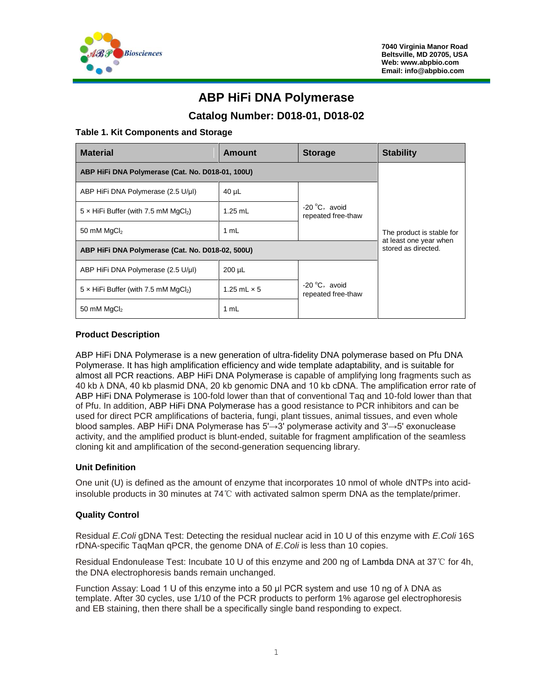

# **ABP HiFi DNA Polymerase**

## **Catalog Number: D018-01, D018-02**

#### **Table 1. Kit Components and Storage**

| <b>Material</b>                                         | <b>Amount</b>                                 | <b>Storage</b>                               | <b>Stability</b>          |
|---------------------------------------------------------|-----------------------------------------------|----------------------------------------------|---------------------------|
| ABP HiFi DNA Polymerase (Cat. No. D018-01, 100U)        |                                               |                                              |                           |
| ABP HiFi DNA Polymerase (2.5 U/µl)                      | $40 \mu L$                                    | $-20^{\circ}$ C, avoid<br>repeated free-thaw | The product is stable for |
| $5 \times$ HiFi Buffer (with 7.5 mM MgCl <sub>2</sub> ) | $1.25$ mL                                     |                                              |                           |
| 50 mM MgCl <sub>2</sub>                                 | 1 mL                                          |                                              |                           |
| ABP HiFi DNA Polymerase (Cat. No. D018-02, 500U)        | at least one year when<br>stored as directed. |                                              |                           |
| ABP HiFi DNA Polymerase (2.5 U/µl)                      | 200 µL                                        | $-20^{\circ}$ C, avoid<br>repeated free-thaw |                           |
| $5 \times$ HiFi Buffer (with 7.5 mM MgCl <sub>2</sub> ) | 1.25 mL $\times$ 5                            |                                              |                           |
| 50 mM $MgCl2$                                           | 1 mL                                          |                                              |                           |

#### **Product Description**

ABP HiFi DNA Polymerase is a new generation of ultra-fidelity DNA polymerase based on Pfu DNA Polymerase. It has high amplification efficiency and wide template adaptability, and is suitable for almost all PCR reactions. ABP HiFi DNA Polymerase is capable of amplifying long fragments such as 40 kb λ DNA, 40 kb plasmid DNA, 20 kb genomic DNA and 10 kb cDNA. The amplification error rate of ABP HiFi DNA Polymerase is 100-fold lower than that of conventional Taq and 10-fold lower than that of Pfu. In addition, ABP HiFi DNA Polymerase has a good resistance to PCR inhibitors and can be used for direct PCR amplifications of bacteria, fungi, plant tissues, animal tissues, and even whole blood samples. ABP HiFi DNA Polymerase has 5'→3' polymerase activity and 3'→5' exonuclease activity, and the amplified product is blunt-ended, suitable for fragment amplification of the seamless cloning kit and amplification of the second-generation sequencing library.

### **Unit Definition**

One unit (U) is defined as the amount of enzyme that incorporates 10 nmol of whole dNTPs into acidinsoluble products in 30 minutes at 74℃ with activated salmon sperm DNA as the template/primer.

### **Quality Control**

Residual *E.Coli* gDNA Test: Detecting the residual nuclear acid in 10 U of this enzyme with *E.Coli* 16S rDNA-specific TaqMan qPCR, the genome DNA of *E.Coli* is less than 10 copies.

Residual Endonulease Test: Incubate 10 U of this enzyme and 200 ng of Lambda DNA at 37℃ for 4h, the DNA electrophoresis bands remain unchanged.

Function Assay: Load 1 U of this enzyme into a 50 μl PCR system and use 10 ng of λ DNA as template. After 30 cycles, use 1/10 of the PCR products to perform 1% agarose gel electrophoresis and EB staining, then there shall be a specifically single band responding to expect.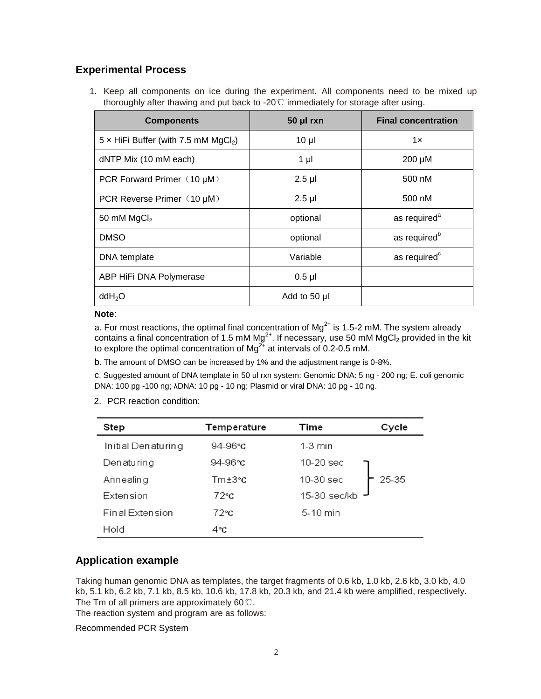### **Experimental Process**

1. Keep all components on ice during the experiment. All components need to be mixed up thoroughly after thawing and put back to -20℃ immediately for storage after using.

| <b>Components</b>                                       | 50 µl rxn    | <b>Final concentration</b> |
|---------------------------------------------------------|--------------|----------------------------|
| $5 \times$ HiFi Buffer (with 7.5 mM MgCl <sub>2</sub> ) | $10 \mu$     | 1x                         |
| dNTP Mix (10 mM each)                                   | $1 \mu$      | $200 \mu M$                |
| PCR Forward Primer (10 µM)                              | $2.5$ µl     | 500 nM                     |
| PCR Reverse Primer (10 µM)                              | $2.5$ µl     | 500 nM                     |
| 50 mM MgCl <sub>2</sub>                                 | optional     | as required <sup>a</sup>   |
| <b>DMSO</b>                                             | optional     | as required <sup>b</sup>   |
| DNA template                                            | Variable     | as required <sup>c</sup>   |
| ABP HiFi DNA Polymerase                                 | $0.5$ µl     |                            |
| ddH <sub>2</sub> O                                      | Add to 50 µl |                            |

#### **Note**:

a. For most reactions, the optimal final concentration of Mg<sup>2+</sup> is 1.5-2 mM. The system already contains a final concentration of 1.5 mM Mg<sup>2+</sup>. If necessary, use 50 mM MgCl<sub>2</sub> provided in the kit to explore the optimal concentration of  $Mg^{2+}$  at intervals of 0.2-0.5 mM.

b. The amount of DMSO can be increased by 1% and the adjustment range is 0-8%.

c. Suggested amount of DNA template in 50 ul rxn system: Genomic DNA: 5 ng - 200 ng; E. coli genomic DNA: 100 pg -100 ng; λDNA: 10 pg - 10 ng; Plasmid or viral DNA: 10 pg - 10 ng.

2. PCR reaction condition:

| Step               | Temperature       | Time<br>Cycle             |
|--------------------|-------------------|---------------------------|
| Initial Denaturing | 94-96°C           | $1-3$ min                 |
| Denaturing         | 94-96 $\degree$ C | 10-20 sec                 |
| Annealing          | Tm±3°c            | 25-35                     |
| Extension          | 72°С              | 10-30 sec<br>15-30 sec/kb |
| Final Extension    | 72°с              | 5-10 min                  |
| Hold               | 4°C               |                           |

### **Application example**

Taking human genomic DNA as templates, the target fragments of 0.6 kb, 1.0 kb, 2.6 kb, 3.0 kb, 4.0 kb, 5.1 kb, 6.2 kb, 7.1 kb, 8.5 kb, 10.6 kb, 17.8 kb, 20.3 kb, and 21.4 kb were amplified, respectively. The Tm of all primers are approximately 60℃.

The reaction system and program are as follows:

Recommended PCR System